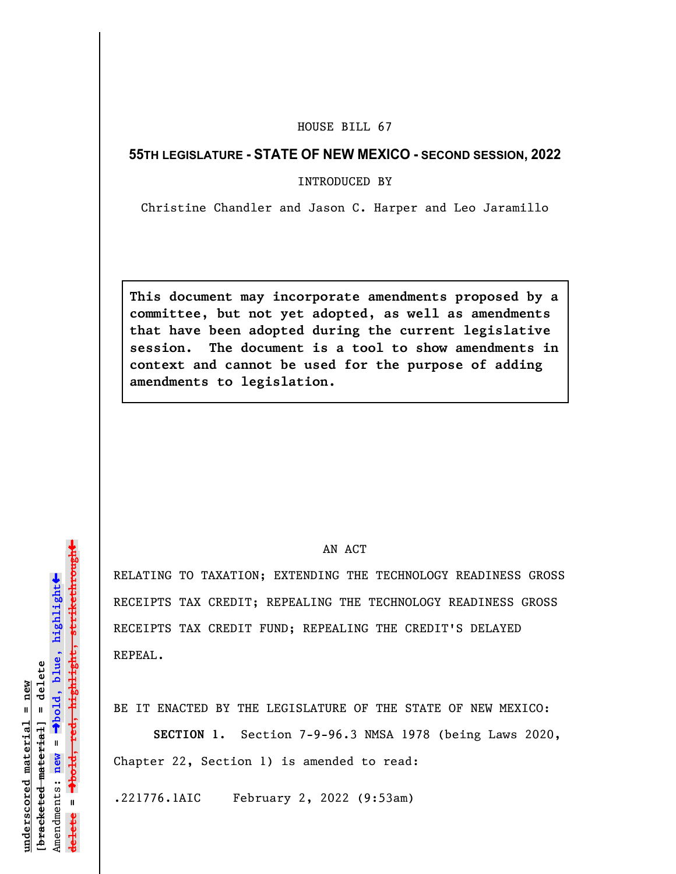## HOUSE BILL 67

## **55TH LEGISLATURE - STATE OF NEW MEXICO - SECOND SESSION, 2022**

INTRODUCED BY

Christine Chandler and Jason C. Harper and Leo Jaramillo

**This document may incorporate amendments proposed by a committee, but not yet adopted, as well as amendments that have been adopted during the current legislative session. The document is a tool to show amendments in context and cannot be used for the purpose of adding amendments to legislation.**

## AN ACT

RELATING TO TAXATION; EXTENDING THE TECHNOLOGY READINESS GROSS RECEIPTS TAX CREDIT; REPEALING THE TECHNOLOGY READINESS GROSS RECEIPTS TAX CREDIT FUND; REPEALING THE CREDIT'S DELAYED REPEAL.

BE IT ENACTED BY THE LEGISLATURE OF THE STATE OF NEW MEXICO:

**SECTION 1.** Section 7-9-96.3 NMSA 1978 (being Laws 2020, Chapter 22, Section 1) is amended to read:

.221776.1AIC February 2, 2022 (9:53am)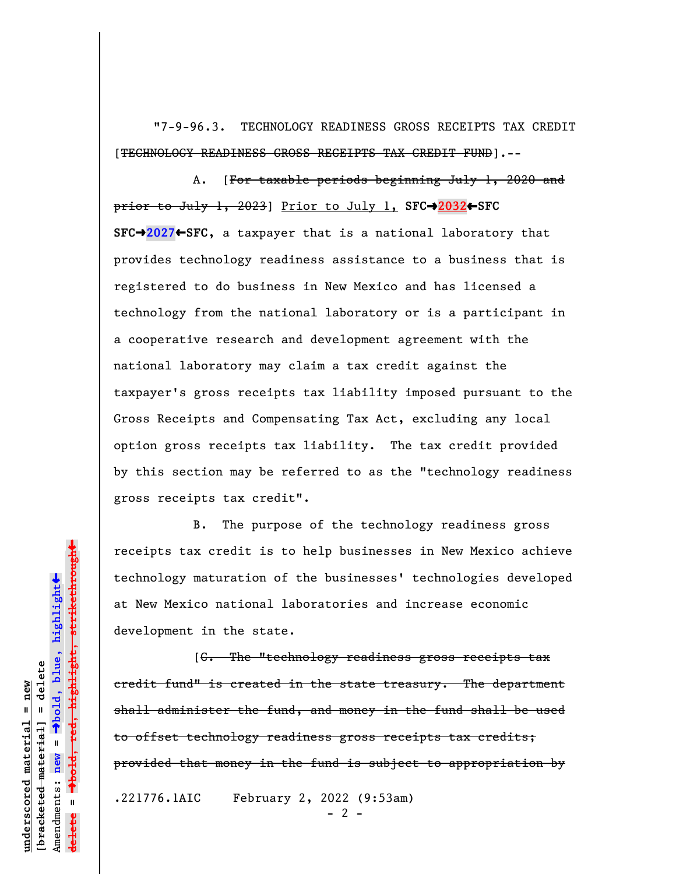"7-9-96.3. TECHNOLOGY READINESS GROSS RECEIPTS TAX CREDIT [TECHNOLOGY READINESS GROSS RECEIPTS TAX CREDIT FUND].--

A. [For taxable periods beginning July 1, 2020 and prior to July 1, 2023] Prior to July 1, **SFC**º**2032**»**SFC SFC**º**2027**»**SFC**, a taxpayer that is a national laboratory that provides technology readiness assistance to a business that is registered to do business in New Mexico and has licensed a technology from the national laboratory or is a participant in a cooperative research and development agreement with the national laboratory may claim a tax credit against the taxpayer's gross receipts tax liability imposed pursuant to the Gross Receipts and Compensating Tax Act, excluding any local option gross receipts tax liability. The tax credit provided by this section may be referred to as the "technology readiness gross receipts tax credit".

B. The purpose of the technology readiness gross receipts tax credit is to help businesses in New Mexico achieve technology maturation of the businesses' technologies developed at New Mexico national laboratories and increase economic development in the state.

[C. The "technology readiness gross receipts tax credit fund" is created in the state treasury. The department shall administer the fund, and money in the fund shall be used to offset technology readiness gross receipts tax credits; provided that money in the fund is subject to appropriation by

.221776.1AIC February 2, 2022 (9:53am)

 $- 2 -$ 

 $\ddag$ º**bold, red, highlight, strikethrough**  $\ddot{\bullet}$ º**bold, blue, highlight**  $b$ racketed material] = delete **[bracketed material] = delete** inderscored material = new **underscored material = new** Amendments: **new** =  $\mathbf{I}$ Amendments: new **delete =**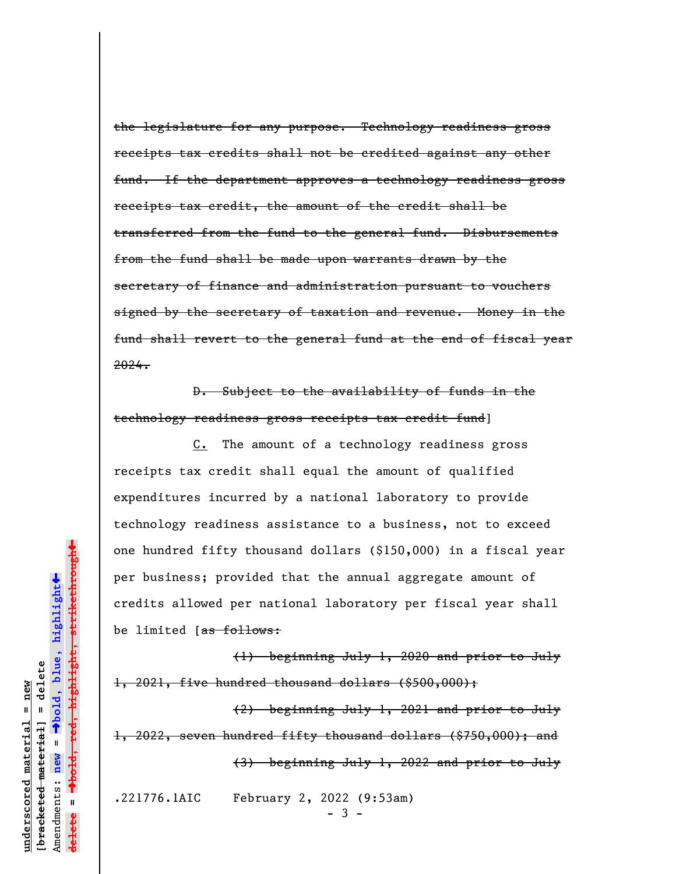the legislature for any purpose. Technology readiness gross receipts tax credits shall not be credited against any other fund. If the department approves a technology readiness gross receipts tax credit, the amount of the credit shall be transferred from the fund to the general fund. Disbursements from the fund shall be made upon warrants drawn by the secretary of finance and administration pursuant to vouchers signed by the secretary of taxation and revenue. Money in the fund shall revert to the general fund at the end of fiscal year 2024.

D. Subject to the availability of funds in the technology readiness gross receipts tax credit fund]

C. The amount of a technology readiness gross receipts tax credit shall equal the amount of qualified expenditures incurred by a national laboratory to provide technology readiness assistance to a business, not to exceed one hundred fifty thousand dollars (\$150,000) in a fiscal year per business; provided that the annual aggregate amount of credits allowed per national laboratory per fiscal year shall be limited [as follows:

(1) beginning July 1, 2020 and prior to July 1, 2021, five hundred thousand dollars (\$500,000);

(2) beginning July 1, 2021 and prior to July 1, 2022, seven hundred fifty thousand dollars (\$750,000); and (3) beginning July 1, 2022 and prior to July

.221776.1AIC February 2, 2022 (9:53am)

- 3 -

highlight, strikethrough º**bold, red, highlight, strikethrough**  $\ddot{\bullet}$ º**bold, blue, highlight**  $b$ racketed material] = delete **[bracketed material] = delete**  $anderscored material = new$ **underscored material = new** Amendments: **new** =  $\mathbf{I}$ Amendments: new **delete =**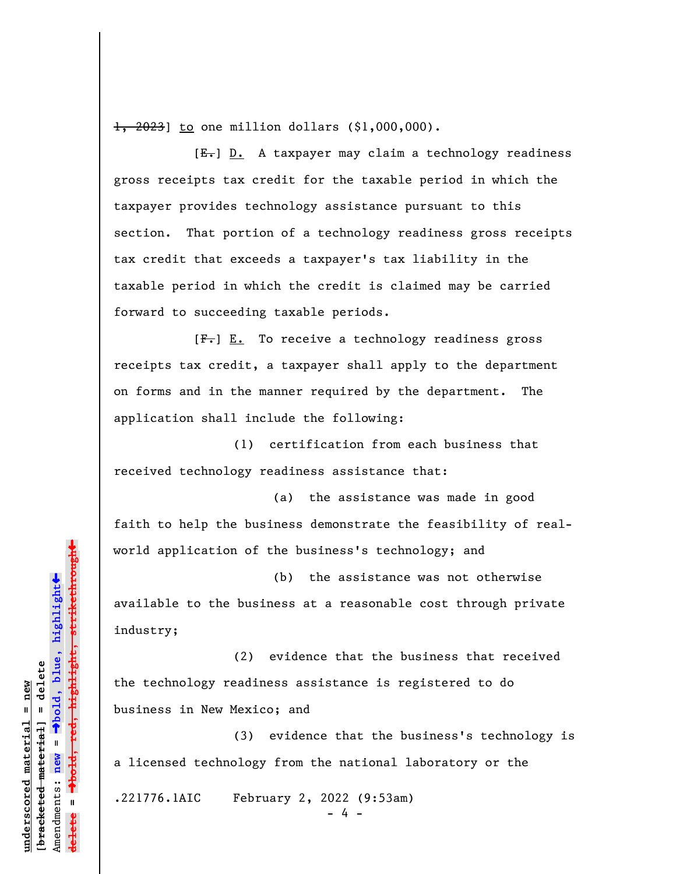1, 2023] to one million dollars (\$1,000,000).

 $[E-]$  D. A taxpayer may claim a technology readiness gross receipts tax credit for the taxable period in which the taxpayer provides technology assistance pursuant to this section. That portion of a technology readiness gross receipts tax credit that exceeds a taxpayer's tax liability in the taxable period in which the credit is claimed may be carried forward to succeeding taxable periods.

 $[F-] E.$  To receive a technology readiness gross receipts tax credit, a taxpayer shall apply to the department on forms and in the manner required by the department. The application shall include the following:

(1) certification from each business that received technology readiness assistance that:

(a) the assistance was made in good faith to help the business demonstrate the feasibility of realworld application of the business's technology; and

(b) the assistance was not otherwise available to the business at a reasonable cost through private industry;

(2) evidence that the business that received the technology readiness assistance is registered to do business in New Mexico; and

(3) evidence that the business's technology is a licensed technology from the national laboratory or the

.221776.1AIC February 2, 2022 (9:53am)

- 4 -

 $\ddag$ º**bold, red, highlight, strikethrough**  $\ddot{\bullet}$ º**bold, blue, highlight** bracketed material] = delete **[bracketed material] = delete** inderscored material = new **underscored material = new** Amendments: **new** =  $\mathbf{I}$ Amendments: new **delete =**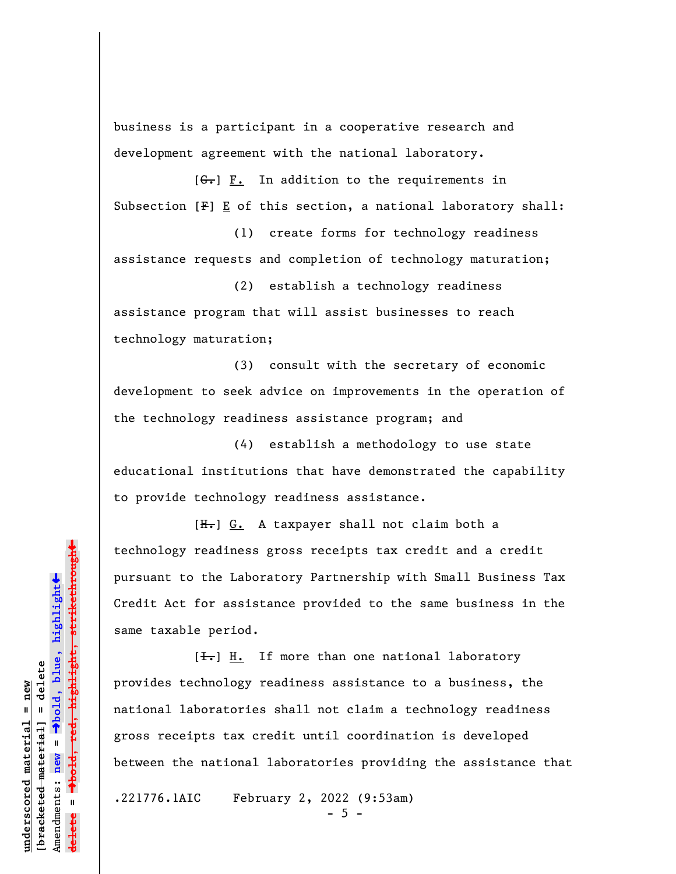business is a participant in a cooperative research and development agreement with the national laboratory.

 $[G<sub>r</sub>]$   $\underline{F.}$  In addition to the requirements in Subsection  $[F] \underline{E}$  of this section, a national laboratory shall:

(1) create forms for technology readiness assistance requests and completion of technology maturation;

(2) establish a technology readiness assistance program that will assist businesses to reach technology maturation;

(3) consult with the secretary of economic development to seek advice on improvements in the operation of the technology readiness assistance program; and

(4) establish a methodology to use state educational institutions that have demonstrated the capability to provide technology readiness assistance.

[H.] G. A taxpayer shall not claim both a technology readiness gross receipts tax credit and a credit pursuant to the Laboratory Partnership with Small Business Tax Credit Act for assistance provided to the same business in the same taxable period.

 $[\frac{1}{\sqrt{1}}]$  H. If more than one national laboratory provides technology readiness assistance to a business, the national laboratories shall not claim a technology readiness gross receipts tax credit until coordination is developed between the national laboratories providing the assistance that

.221776.1AIC February 2, 2022 (9:53am)

 $-5 -$ 

»highlight, strikethrough º**bold, red, highlight, strikethrough**  $\ddot{\bullet}$ º**bold, blue, highlight** bracketed material] = delete **[bracketed material] = delete** inderscored material = new **underscored material = new** Amendments: **new** =  $\mathbf{I}$ Amendments: new **delete =**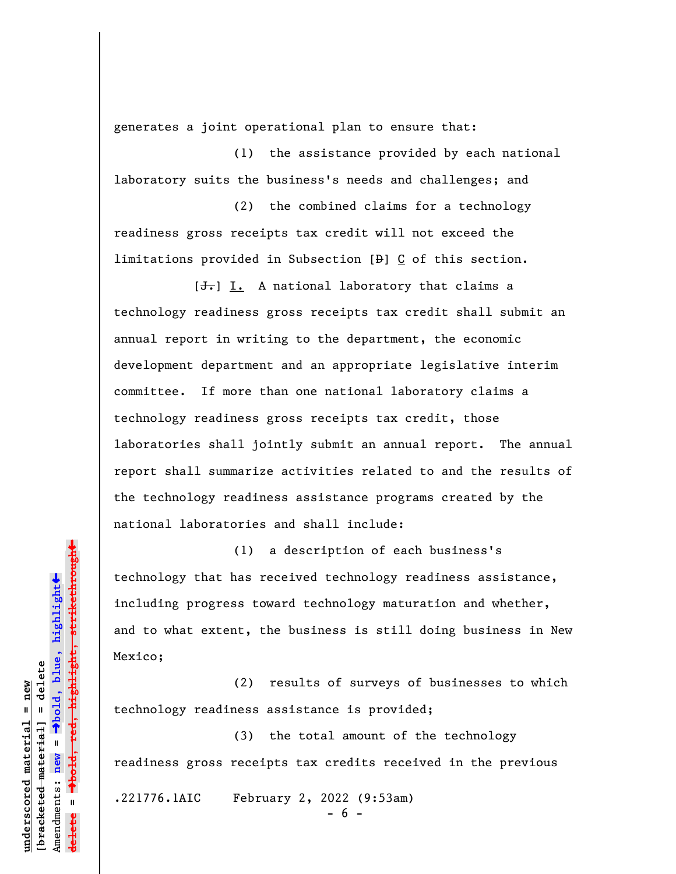generates a joint operational plan to ensure that:

(1) the assistance provided by each national laboratory suits the business's needs and challenges; and

(2) the combined claims for a technology readiness gross receipts tax credit will not exceed the limitations provided in Subsection  $[\frac{1}{2}]$   $\underline{C}$  of this section.

[<del>J.</del>] I. A national laboratory that claims a technology readiness gross receipts tax credit shall submit an annual report in writing to the department, the economic development department and an appropriate legislative interim committee. If more than one national laboratory claims a technology readiness gross receipts tax credit, those laboratories shall jointly submit an annual report. The annual report shall summarize activities related to and the results of the technology readiness assistance programs created by the national laboratories and shall include:

(1) a description of each business's technology that has received technology readiness assistance, including progress toward technology maturation and whether, and to what extent, the business is still doing business in New Mexico;

(2) results of surveys of businesses to which technology readiness assistance is provided;

(3) the total amount of the technology readiness gross receipts tax credits received in the previous

.221776.1AIC February 2, 2022 (9:53am)

- 6 -

highlight, strikethrough º**bold, red, highlight, strikethrough**  $\ddot{\bullet}$ º**bold, blue, highlight**  $b$ racketed material] = delete **[bracketed material] = delete** inderscored material = new **underscored material = new** Amendments: **new** =  $\mathbf{I}$ Amendments: new **delete =**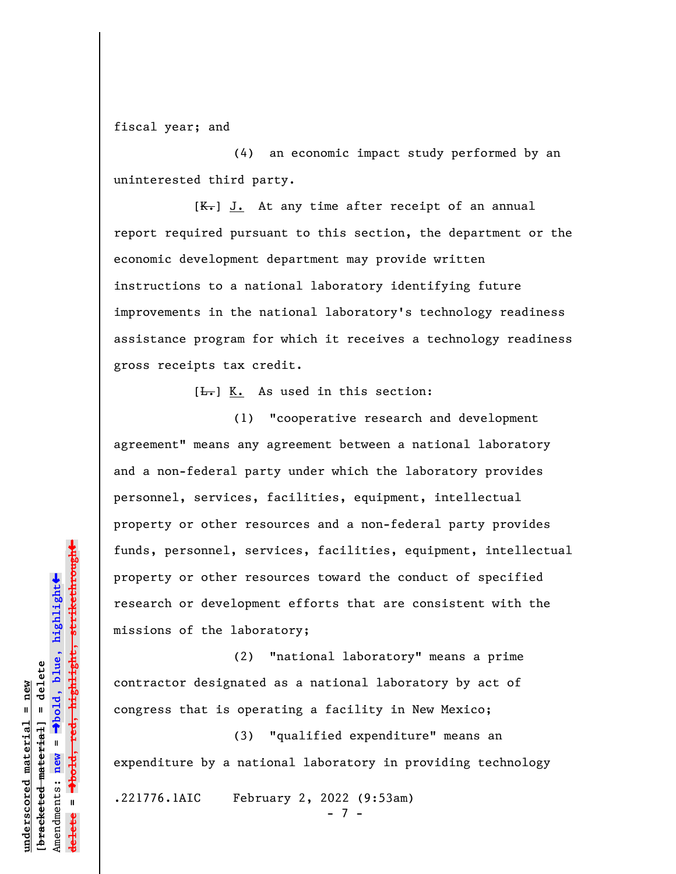fiscal year; and

(4) an economic impact study performed by an uninterested third party.

 $[K-]$  J. At any time after receipt of an annual report required pursuant to this section, the department or the economic development department may provide written instructions to a national laboratory identifying future improvements in the national laboratory's technology readiness assistance program for which it receives a technology readiness gross receipts tax credit.

 $[\frac{L}{n}]$  K. As used in this section:

(1) "cooperative research and development agreement" means any agreement between a national laboratory and a non-federal party under which the laboratory provides personnel, services, facilities, equipment, intellectual property or other resources and a non-federal party provides funds, personnel, services, facilities, equipment, intellectual property or other resources toward the conduct of specified research or development efforts that are consistent with the missions of the laboratory;

(2) "national laboratory" means a prime contractor designated as a national laboratory by act of congress that is operating a facility in New Mexico;

(3) "qualified expenditure" means an expenditure by a national laboratory in providing technology

.221776.1AIC February 2, 2022 (9:53am)

- 7 -

»highlight, strikethrough º**bold, red, highlight, strikethrough**  $\ddot{\bullet}$ º**bold, blue, highlight** bracketed material] = delete **[bracketed material] = delete** inderscored material = new **underscored material = new** Amendments: **new** =  $\mathbf{u}$ Amendments: new **delete =**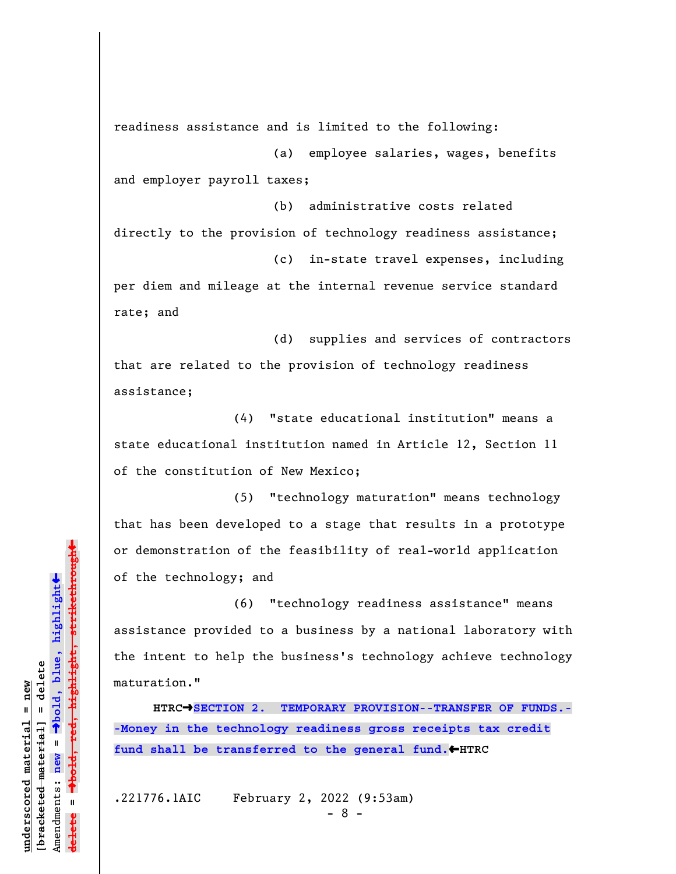readiness assistance and is limited to the following:

(a) employee salaries, wages, benefits and employer payroll taxes;

(b) administrative costs related directly to the provision of technology readiness assistance; (c) in-state travel expenses, including per diem and mileage at the internal revenue service standard

(d) supplies and services of contractors that are related to the provision of technology readiness assistance;

(4) "state educational institution" means a state educational institution named in Article 12, Section 11 of the constitution of New Mexico;

(5) "technology maturation" means technology that has been developed to a stage that results in a prototype or demonstration of the feasibility of real-world application of the technology; and

(6) "technology readiness assistance" means assistance provided to a business by a national laboratory with the intent to help the business's technology achieve technology maturation."

**HTRC**º**SECTION 2. TEMPORARY PROVISION--TRANSFER OF FUNDS.- -Money in the technology readiness gross receipts tax credit** fund shall be transferred to the general fund. **+HTRC** 

.221776.1AIC February 2, 2022 (9:53am)

rate; and